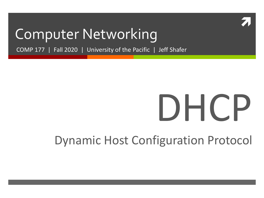

#### Computer Networking

COMP 177 | Fall 2020 | University of the Pacific | Jeff Shafer

# DHCP

#### Dynamic Host Configuration Protocol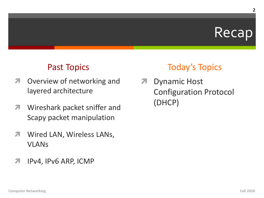#### Recap

#### Past Topics

- **7** Overview of networking and layered architecture
- **7** Wireshark packet sniffer and Scapy packet manipulation
- *A* Wired LAN, Wireless LANs, VLANs
- **7** IPv4, IPv6 ARP, ICMP

#### Today's Topics

**7** Dynamic Host Configuration Protocol (DHCP)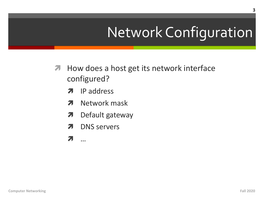# Network Configuration

- **7** How does a host get its network interface configured?
	- IP address 7
	- Network mask 7
	- Default gateway  $\boldsymbol{\pi}$
	- **DNS** servers 7
	- 7  $\ddot{\phantom{a}}$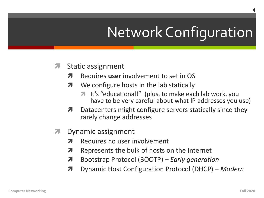# Network Configuration

- **Static assignment** 
	- Requires user involvement to set in OS 7
	- We configure hosts in the lab statically 7
		- **7** It's "educational!" (plus, to make each lab work, you have to be very careful about what IP addresses you use)
	- Datacenters might configure servers statically since they Л. rarely change addresses
- Dynamic assignment 7
	- Requires no user involvement 7
	- Represents the bulk of hosts on the Internet 7
	- Bootstrap Protocol (BOOTP) Early generation 7
	- Dynamic Host Configuration Protocol (DHCP) Modern 7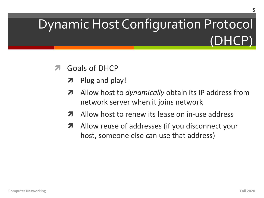#### Dynamic Host Configuration Protocol (DHCP)

#### Goals of DHCP

- Plug and play! 7
- Allow host to *dynamically* obtain its IP address from 7 network server when it joins network
- Allow host to renew its lease on in-use address 7
- Allow reuse of addresses (if you disconnect your host, someone else can use that address)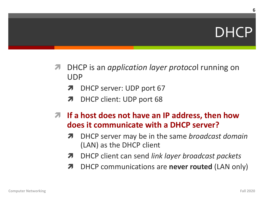#### DHCP

- *A* DHCP is an *application layer protocol* running on UDP
	- **7** DHCP server: UDP port 67
	- **7** DHCP client: UDP port 68
- $\pi$  If a host does not have an IP address, then how **does it communicate with a DHCP server?** 
	- ì DHCP server may be in the same *broadcast domain*  (LAN) as the DHCP client
	- ì DHCP client can send *link layer broadcast packets*
	- ì DHCP communications are **never routed** (LAN only)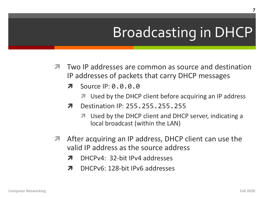# **Broadcasting in DHCP**

- Two IP addresses are common as source and destination IP addresses of packets that carry DHCP messages
	- Source  $IP: \theta, \theta, \theta, \theta$ 7
		- **7** Used by the DHCP client before acquiring an IP address
	- Destination IP: 255, 255, 255, 255 Я.
		- Used by the DHCP client and DHCP server, indicating a local broadcast (within the LAN)
- After acquiring an IP address, DHCP client can use the valid IP address as the source address
	- DHCPv4: 32-bit IPv4 addresses  $\overline{\mathbf{z}}$
	- DHCPv6: 128-bit IPv6 addresses Я.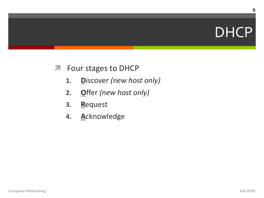#### **DHCP**

#### **7** Four stages to DHCP

- Discover (new host only) 1.
- Offer (new host only)  $2.$
- Request  $3.$
- **Acknowledge** 4.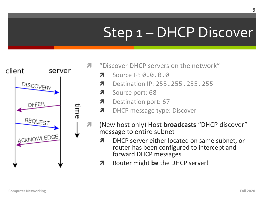# Step 1 – DHCP Discover



- "Discover DHCP servers on the network"
	- Source  $IP: 0.0.0.0$ 7
	- Destination IP: 255.255.255.255 Л.
	- Source port: 68 Л.
	- Destination port: 67 Я.
	- **DHCP message type: Discover** Л.
- (New host only) Host **broadcasts** "DHCP discover" 71 message to entire subnet
	- DHCP server either located on same subnet, or 7 router has been configured to intercept and forward DHCP messages
	- Router might be the DHCP server! 7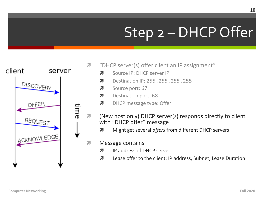## Step 2 - DHCP Offer



- "DHCP server(s) offer client an IP assignment"  $\overline{\mathbf{z}}$ 
	- Source IP: DHCP server IP 7
	- Destination IP: 255, 255, 255, 255 Л.
	- Source port: 67 Л.
	- $\overline{\mathbf{z}}$ Destination port: 68
	- $\overline{\boldsymbol{\pi}}$ DHCP message type: Offer
- (New host only) DHCP server(s) responds directly to client  $\overline{\mathbf{z}}$ with "DHCP offer" message
	- Might get several offers from different DHCP servers Я
- **Message contains**  $\overline{\mathbf{z}}$ 
	- IP address of DHCP server 7
	- $\overline{\mathbf{z}}$ Lease offer to the client: IP address, Subnet, Lease Duration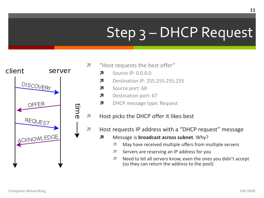# Step 3 - DHCP Request



- "Host requests the best offer" 21
	- Source IP: 0.0.0.0 Л.
	- Destination IP: 255.255.255.255 Л.
	- Source port: 68 Л.
	- Destination port: 67  $\overline{\mathbf{z}}$
	- 7 **DHCP** message type: Request
- $\overline{\mathbf{z}}$ Host picks the DHCP offer it likes best
- $\overline{\mathcal{L}}$ Host requests IP address with a "DHCP request" message
	- Message is **broadcast across subnet**. Why? Л
		- May have received multiple offers from multiple servers  $\overline{\mathbf{z}}$
		- Servers are reserving an IP address for you 7
		- Need to let all servers know, even the ones you didn't accept  $\overline{\mathbf{z}}$ (so they can return the address to the pool)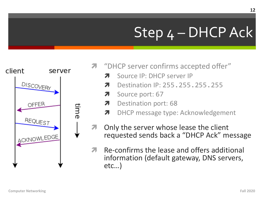# Step 4 – DHCP Ack



- "DHCP server confirms accepted offer"
	- Source IP: DHCP server IP
	- Destination IP: 255, 255, 255, 255 7
	- Source port: 67 7
	- Destination port: 68
	- DHCP message type: Acknowledgement 7
- Only the server whose lease the client 7 requested sends back a "DHCP Ack" message
- Re-confirms the lease and offers additional 7 information (default gateway, DNS servers,  $etc...$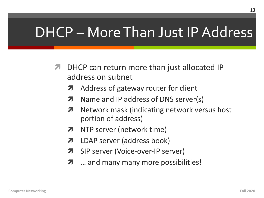#### DHCP - More Than Just IP Address

- DHCP can return more than just allocated IP  $\boldsymbol{\pi}$ address on subnet
	- Address of gateway router for client  $\overline{\phantom{a}}$
	- Name and IP address of DNS server(s) Л.
	- Network mask (indicating network versus host 7 portion of address)
	- NTP server (network time) 7
	- LDAP server (address book) 7
	- SIP server (Voice-over-IP server) 7
	- ... and many many more possibilities!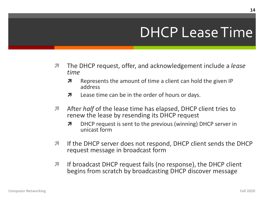#### DHCP Lease Time

- ì The DHCP request, offer, and acknowledgement include a *lease time*
	- $\lambda$  Represents the amount of time a client can hold the given IP address
	- $\lambda$  Lease time can be in the order of hours or days.
- *A* After *half* of the lease time has elapsed, DHCP client tries to renew the lease by resending its DHCP request
	- **7** DHCP request is sent to the previous (winning) DHCP server in unicast form
- *i* If the DHCP server does not respond, DHCP client sends the DHCP request message in broadcast form
- **7** If broadcast DHCP request fails (no response), the DHCP client begins from scratch by broadcasting DHCP discover message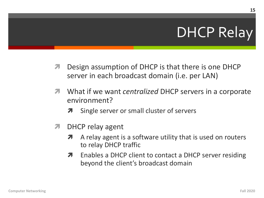## **DHCP Relay**

- Design assumption of DHCP is that there is one DHCP  $\overline{\phantom{a}}$ server in each broadcast domain (i.e. per LAN)
- 7 What if we want *centralized* DHCP servers in a corporate environment?
	- Single server or small cluster of servers 7
- DHCP relay agent  $\overline{\phantom{a}}$ 
	- A relay agent is a software utility that is used on routers 7 to relay DHCP traffic
	- Enables a DHCP client to contact a DHCP server residing Я. beyond the client's broadcast domain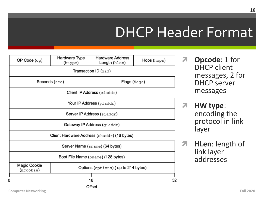| OP Code $_{\rm (op)}$     | Hardware Type<br>(htype)                    | <b>Hardware Address</b><br>Length (hlen) | Hops (hops) |
|---------------------------|---------------------------------------------|------------------------------------------|-------------|
|                           |                                             | <b>Transaction ID (</b> $x$ <i>i</i> d)  |             |
|                           | Seconds (sec)                               | Flags (flags)                            |             |
|                           |                                             | Client IP Address (ciaddr)               |             |
|                           |                                             | Your IP Address (yiaddr)                 |             |
|                           |                                             | Server IP Address (siaddr)               |             |
|                           |                                             | Gateway IP Address (giaddr)              |             |
|                           | Client Hardware Address (chaddr) (16 bytes) |                                          |             |
|                           |                                             | Server Name (sname) (64 bytes)           |             |
|                           |                                             | Boot File Name (bname) (128 bytes)       |             |
| Magic Cookie<br>(mcookie) |                                             | Options (options) (up to 214 bytes)      |             |
|                           | 16                                          |                                          |             |
|                           |                                             | Offset                                   |             |

- **7** Opcode: 1 for **DHCP** client messages, 2 for **DHCP** server messages
- HW type: 7 encoding the protocol in link layer
- $\overline{\phantom{a}}$ HLen: length of link layer addresses

16

**Computer Networking**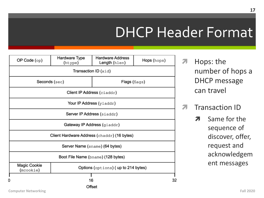| OP Code $(\mathrm{op})$   | Hardware Type<br>(htype)                    | <b>Hardware Address</b><br>Length(hlen) | Hops (hops) |
|---------------------------|---------------------------------------------|-----------------------------------------|-------------|
|                           |                                             | <b>Transaction ID</b> $(xid)$           |             |
|                           | Seconds (sec)                               | Flags (flags)                           |             |
|                           |                                             | Client IP Address (ciaddr)              |             |
|                           |                                             | Your IP Address (yiaddr)                |             |
|                           |                                             | Server IP Address (siaddr)              |             |
|                           |                                             | Gateway IP Address (giaddr)             |             |
|                           | Client Hardware Address (chaddr) (16 bytes) |                                         |             |
|                           |                                             | Server Name (sname) (64 bytes)          |             |
|                           |                                             | Boot File Name (bname) (128 bytes)      |             |
| Magic Cookie<br>(mcookie) |                                             | Options (options) (up to 214 bytes)     |             |
|                           | 16                                          |                                         | 32          |
|                           |                                             | Offset                                  |             |

- $\overline{\mathbf{z}}$ Hops: the number of hops a **DHCP** message can travel
- **Transaction ID** 71
	- Same for the 7 sequence of discover, offer, request and acknowledgem ent messages

17

**Computer Networking**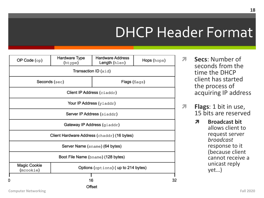| OP Code $({\rm op})$      | Hardware Type<br>(htype)                    | <b>Hardware Address</b><br>Length (hlen) | Hops (hops) |
|---------------------------|---------------------------------------------|------------------------------------------|-------------|
|                           |                                             | <b>Transaction ID (</b> $x$ <i>i</i> d)  |             |
|                           | Seconds (sec)                               | Flags (flags)                            |             |
|                           |                                             | Client IP Address (ciaddr)               |             |
|                           |                                             | Your IP Address (yiaddr)                 |             |
|                           |                                             | Server IP Address (siaddr)               |             |
|                           | Gateway IP Address (giaddr)                 |                                          |             |
|                           | Client Hardware Address (chaddr) (16 bytes) |                                          |             |
|                           |                                             | Server Name (sname) (64 bytes)           |             |
|                           |                                             | Boot File Name (bname) (128 bytes)       |             |
| Magic Cookie<br>(mcookie) | Options (options) (up to 214 bytes)         |                                          |             |
| 0                         | 16                                          |                                          | 32          |
|                           |                                             | Offset                                   |             |

- Secs: Number of  $\overline{\phantom{a}}$ seconds from the time the DHCP client has started the process of acquiring IP address
- Flags: 1 bit in use, Л. 15 bits are reserved
	- **Broadcast bit**  $\overline{\mathbf{z}}$ allows client to request server *broadcast* response to it (because client cannot receive a unicast reply  $yet...)$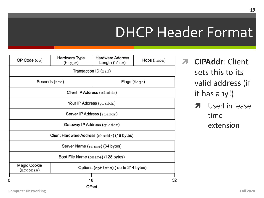| OP Code $_{\rm (op)}$     | Hardware Type<br>(htype)                    | <b>Hardware Address</b><br>Length (hlen) | Hops (hops) |
|---------------------------|---------------------------------------------|------------------------------------------|-------------|
|                           |                                             | Transaction ID (xid)                     |             |
|                           | Seconds (sec)                               | Flags (flags)                            |             |
|                           |                                             | Client IP Address (ciaddr)               |             |
|                           |                                             | Your IP Address (yiaddr)                 |             |
|                           | Server IP Address (siaddr)                  |                                          |             |
|                           |                                             | Gateway IP Address (giaddr)              |             |
|                           | Client Hardware Address (chaddr) (16 bytes) |                                          |             |
|                           | Server Name (sname) (64 bytes)              |                                          |             |
|                           | Boot File Name (bname) (128 bytes)          |                                          |             |
| Magic Cookie<br>(mcookie) |                                             | Options (options) (up to 214 bytes)      |             |
|                           | 16                                          |                                          |             |
|                           |                                             | Offset                                   |             |

- **7 CIPAddr: Client** sets this to its valid address (if it has any!)
	- Used in lease 7 time extension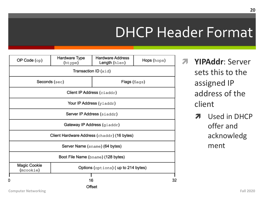| OP Code $_{\rm (op)}$     | Hardware Type<br>(htype)                    | <b>Hardware Address</b><br>Length (hlen) | Hops (hops) |
|---------------------------|---------------------------------------------|------------------------------------------|-------------|
|                           |                                             | <b>Transaction ID (</b> $x$ <i>i</i> d)  |             |
|                           | Seconds (sec)                               | Flags (flags)                            |             |
|                           |                                             | Client IP Address (ciaddr)               |             |
|                           |                                             | Your IP Address (yiaddr)                 |             |
|                           | Server IP Address (siaddr)                  |                                          |             |
|                           |                                             | Gateway IP Address (giaddr)              |             |
|                           | Client Hardware Address (chaddr) (16 bytes) |                                          |             |
|                           | Server Name (sname) (64 bytes)              |                                          |             |
|                           |                                             | Boot File Name (bname) (128 bytes)       |             |
| Magic Cookie<br>(mcookie) |                                             | Options (options) (up to 214 bytes)      |             |
|                           | 16                                          |                                          |             |
|                           |                                             | Offset                                   |             |

**7 YIPAddr:** Server sets this to the assigned IP address of the client

> Used in DHCP Я. offer and acknowledg ment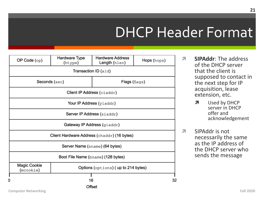| OP Code $(\mathrm{op})$   | Hardware Type<br>(htype) | <b>Hardware Address</b><br>Length (hlen)    | Hops (hops) |
|---------------------------|--------------------------|---------------------------------------------|-------------|
|                           |                          | <b>Transaction ID (</b> $x$ <i>i</i> d)     |             |
|                           | Seconds (sec)            | Flags (flags)                               |             |
|                           |                          | Client IP Address (ciaddr)                  |             |
|                           |                          | Your IP Address (yiaddr)                    |             |
|                           |                          | Server IP Address (siaddr)                  |             |
|                           |                          | Gateway IP Address (giaddr)                 |             |
|                           |                          | Client Hardware Address (chaddr) (16 bytes) |             |
|                           |                          | Server Name (sname) (64 bytes)              |             |
|                           |                          | Boot File Name (bname) (128 bytes)          |             |
| Magic Cookie<br>(mcookie) |                          | Options (options) (up to 214 bytes)         |             |
|                           | 16                       |                                             |             |
|                           |                          | Offset                                      |             |

- **SIPAddr: The address**  $\mathbf{z}$ of the DHCP server that the client is supposed to contact in the next step for IP acquisition, lease extension, etc.
	- Used by DHCP 7 server in DHCP offer and acknowledgement
- SIPAddr is not  $\overline{\mathbf{z}}$ necessarily the same as the IP address of the DHCP server who sends the message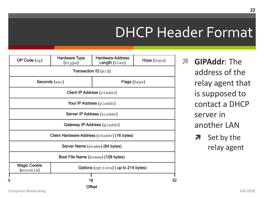$\overline{\phantom{a}}$ 

| OP Code $({\rm op})$      | Hardware Type<br>(htype)                    | <b>Hardware Address</b><br>Length (hlen) | Hops (hops) |
|---------------------------|---------------------------------------------|------------------------------------------|-------------|
|                           |                                             | <b>Transaction ID</b> $(xid)$            |             |
|                           | Seconds (sec)                               | Flags (flags)                            |             |
|                           |                                             | Client IP Address (ciaddr)               |             |
|                           |                                             | Your IP Address (yiaddr)                 |             |
|                           |                                             | Server IP Address (siaddr)               |             |
|                           |                                             | Gateway IP Address (giaddr)              |             |
|                           | Client Hardware Address (chaddr) (16 bytes) |                                          |             |
|                           |                                             | Server Name (sname) (64 bytes)           |             |
|                           |                                             | Boot File Name (bname) (128 bytes)       |             |
| Magic Cookie<br>(mcookie) |                                             | Options (options) (up to 214 bytes)      |             |
|                           | 16                                          |                                          | 32          |
|                           |                                             | Offset                                   |             |

**GIPAddr: The** address of the relay agent that is supposed to contact a DHCP server in another LAN

**7** Set by the relay agent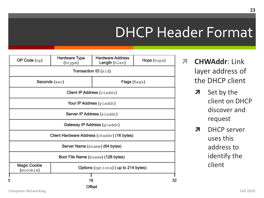| OP Code $_{\rm (op)}$     | Hardware Type<br>(htype)                    | <b>Hardware Address</b><br>Length (hlen) | Hops (hops) |
|---------------------------|---------------------------------------------|------------------------------------------|-------------|
|                           | Transaction ID (xid)                        |                                          |             |
| Seconds (sec)             |                                             | Flags (flags)                            |             |
|                           | Client IP Address (ciaddr)                  |                                          |             |
|                           | Your IP Address (yiaddr)                    |                                          |             |
|                           | Server IP Address (siaddr)                  |                                          |             |
|                           | Gateway IP Address (giaddr)                 |                                          |             |
|                           | Client Hardware Address (chaddr) (16 bytes) |                                          |             |
|                           | Server Name (sname) (64 bytes)              |                                          |             |
|                           | Boot File Name (bname) (128 bytes)          |                                          |             |
| Magic Cookie<br>(mcookie) | Options (options) (up to 214 bytes)         |                                          |             |
|                           | 16<br>Offset                                |                                          |             |

- $\overline{\mathbf{z}}$ **CHWAddr: Link** layer address of the DHCP client
	- Set by the  $\overline{\boldsymbol{\pi}}$ client on DHCP discover and request
	- **DHCP** server 7 uses this address to identify the client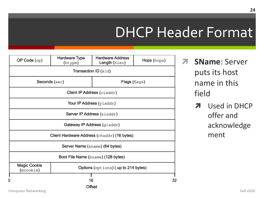| OP Code $_{\rm (op)}$     | Hardware Type<br>(htype)            | <b>Hardware Address</b><br>Length(hlen)     | Hops (hops) |
|---------------------------|-------------------------------------|---------------------------------------------|-------------|
|                           |                                     | <b>Transaction ID</b> $(xid)$               |             |
|                           | Seconds (sec)                       | Flags (flags)                               |             |
|                           |                                     | Client IP Address (ciaddr)                  |             |
|                           |                                     | Your IP Address (yiaddr)                    |             |
|                           |                                     | Server IP Address (siaddr)                  |             |
|                           |                                     | Gateway IP Address (giaddr)                 |             |
|                           |                                     | Client Hardware Address (chaddr) (16 bytes) |             |
|                           |                                     | Server Name (sname) (64 bytes)              |             |
|                           |                                     | Boot File Name (bname) (128 bytes)          |             |
| Magic Cookie<br>(mcookie) | Options (options) (up to 214 bytes) |                                             |             |
|                           | 16                                  |                                             | 32          |
|                           |                                     | Offset                                      |             |

- 7 **SName: Server** puts its host name in this field
	- **Used in DHCP**  $\overline{\boldsymbol{\lambda}}$ offer and acknowledge ment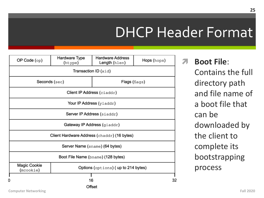| OP Code $_{\rm (op)}$     | Hardware Type<br>(htype)                    | <b>Hardware Address</b><br>Length (hlen) | Hops (hops) |
|---------------------------|---------------------------------------------|------------------------------------------|-------------|
|                           |                                             | <b>Transaction ID (</b> $x$ <i>i</i> d)  |             |
|                           | Seconds (sec)                               | Flags (flags)                            |             |
|                           |                                             | Client IP Address (ciaddr)               |             |
|                           |                                             | Your IP Address (yiaddr)                 |             |
|                           |                                             | Server IP Address (siaddr)               |             |
|                           |                                             | Gateway IP Address (giaddr)              |             |
|                           | Client Hardware Address (chaddr) (16 bytes) |                                          |             |
|                           |                                             | Server Name (sname) (64 bytes)           |             |
|                           |                                             | Boot File Name (bname) (128 bytes)       |             |
| Magic Cookie<br>(mcookie) |                                             | Options (options) (up to 214 bytes)      |             |
|                           | 16                                          |                                          | 32          |
|                           |                                             | Offset                                   |             |

ì **Boot File**: Contains the full directory path and file name of a boot file that can be downloaded by the client to complete its bootstrapping process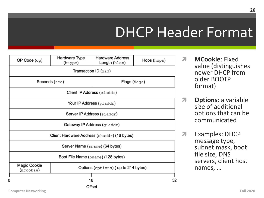| OP Code $_{\rm (op)}$     | Hardware Type<br>(htype)                    | <b>Hardware Address</b><br>Length(hlen) | Hops (hops) |
|---------------------------|---------------------------------------------|-----------------------------------------|-------------|
|                           |                                             | <b>Transaction ID</b> $(xid)$           |             |
|                           | Seconds (sec)                               | Flags (flags)                           |             |
|                           |                                             | Client IP Address (ciaddr)              |             |
|                           |                                             | Your IP Address (yiaddr)                |             |
|                           |                                             | Server IP Address (siaddr)              |             |
|                           |                                             | Gateway IP Address (giaddr)             |             |
|                           | Client Hardware Address (chaddr) (16 bytes) |                                         |             |
|                           |                                             | Server Name (sname) (64 bytes)          |             |
|                           |                                             | Boot File Name (bname) (128 bytes)      |             |
| Magic Cookie<br>(mcookie) | Options (options) (up to 214 bytes)         |                                         |             |
| 0                         | 16                                          |                                         | 32          |
|                           |                                             | Offset                                  |             |

- **MCookie: Fixed** 7 value (distinguishes newer DHCP from older BOOTP format)
- **Options: a variable** 7 size of additional options that can be communicated
- 7 Examples: DHCP message type, subnet mask, boot file size, DNS servers, client host names, ...